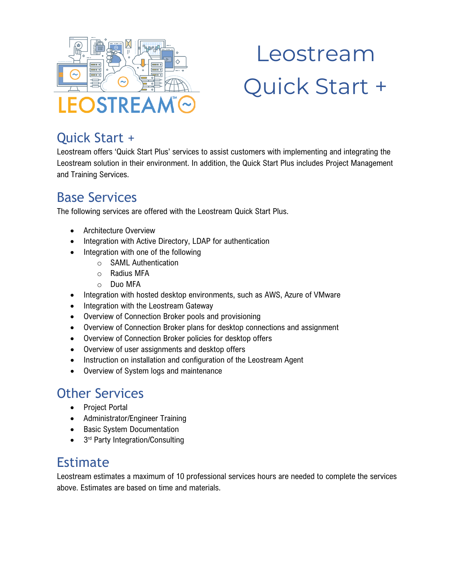

# Leostream Quick Start +

## Quick Start +

Leostream offers 'Quick Start Plus' services to assist customers with implementing and integrating the Leostream solution in their environment. In addition, the Quick Start Plus includes Project Management and Training Services.

### Base Services

The following services are offered with the Leostream Quick Start Plus.

- Architecture Overview
- Integration with Active Directory, LDAP for authentication
- Integration with one of the following
	- o SAML Authentication
	- o Radius MFA
	- o Duo MFA
- Integration with hosted desktop environments, such as AWS, Azure of VMware
- Integration with the Leostream Gateway
- Overview of Connection Broker pools and provisioning
- Overview of Connection Broker plans for desktop connections and assignment
- Overview of Connection Broker policies for desktop offers
- Overview of user assignments and desktop offers
- Instruction on installation and configuration of the Leostream Agent
- Overview of System logs and maintenance

## Other Services

- Project Portal
- Administrator/Engineer Training
- Basic System Documentation
- 3<sup>rd</sup> Party Integration/Consulting

### Estimate

Leostream estimates a maximum of 10 professional services hours are needed to complete the services above. Estimates are based on time and materials.